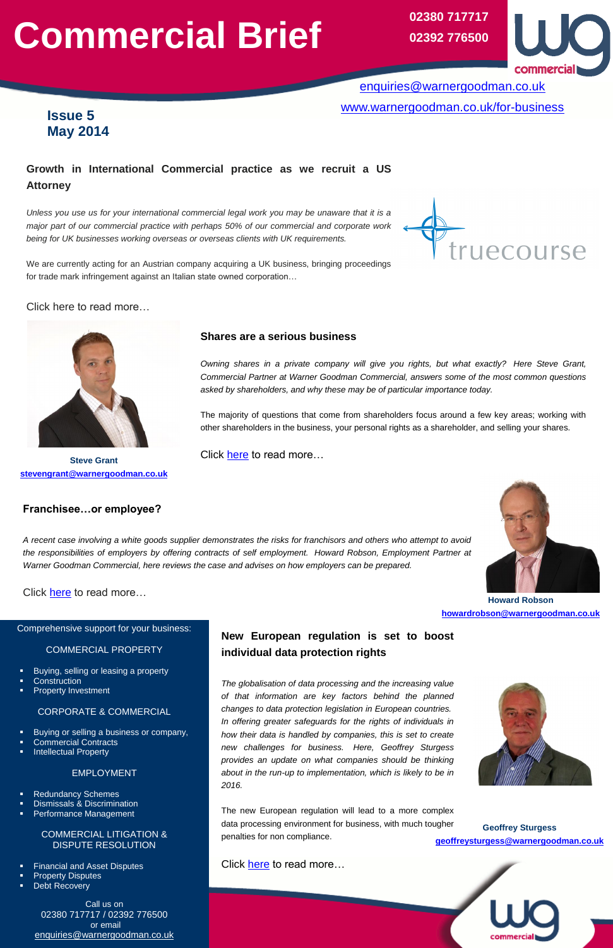# **Commercial Brief**

**Franchisee…or employee?**

*A recent case involving a white goods supplier demonstrates the risks for franchisors and others who attempt to avoid the responsibilities of employers by offering contracts of self employment. Howard Robson, Employment Partner at* 

*Warner Goodman Commercial, here reviews the case and advises on how employers can be prepared.*



## **New European regulation is set to boost individual data protection rights**

*The globalisation of data processing and the increasing value of that information are key factors behind the planned* 



*changes to data protection legislation in European countries. In offering greater safeguards for the rights of individuals in how their data is handled by companies, this is set to create new challenges for business. Here, Geoffrey Sturgess provides an update on what companies should be thinking about in the run-up to implementation, which is likely to be in 2016.* 

- **Construction**
- Property Investment
- 

The new European regulation will lead to a more complex data processing environment for business, with much tougher penalties for non compliance.

Click [here](https://www.warnergoodman.co.uk/site/blog/news/new-european-regulation-is-set-to-boost-individual-data-protecti) to read more...



# **Growth in International Commercial practice as we recruit a US Attorney**

*Unless you use us for your international commercial legal work you may be unaware that it is a major part of our commercial practice with perhaps 50% of our commercial and corporate work being for UK businesses working overseas or overseas clients with UK requirements.* 



We are currently acting for an Austrian company acquiring a UK business, bringing proceedings for trade mark infringement against an Italian state owned corporation…

## Click here to read more…

Comprehensive support for your business:

COMMERCIAL PROPERTY

Buying, selling or leasing a property

Click [here](https://www.warnergoodman.co.uk/site/blog/news/franchiseeor-employee) to read more...

#### CORPORATE & COMMERCIAL

- Buying or selling a business or company,
- Commercial Contracts
- Intellectual Property

#### EMPLOYMENT

- Redundancy Schemes
- Dismissals & Discrimination
- Performance Management

COMMERCIAL LITIGATION & DISPUTE RESOLUTION

- Financial and Asset Disputes
- Property Disputes
- Debt Recovery

Call us on 02380 717717 / 02392 776500 or email [enquiries@warnergoodman.co.uk](mailto:enquiries@warnergoodman.co.uk)

**Issue 5 May 2014**

[enquiries@warnergoodman.co.uk](mailto:enquiries@warnergoodman.co.uk) [www.warnergoodman.co.uk/for-business](http://www.warnergoodman.co.uk/for-business)

## **Shares are a serious business**

*Owning shares in a private company will give you rights, but what exactly? Here Steve Grant, Commercial Partner at Warner Goodman Commercial, answers some of the most common questions asked by shareholders, and why these may be of particular importance today.*

**02380 717717 02392 776500**



The majority of questions that come from shareholders focus around a few key areas; working with other shareholders in the business, your personal rights as a shareholder, and selling your shares.

**Steve Grant** Click **here** to read more...



**[stevengrant@warnergoodman.co.uk](mailto:stevengrant@warnergoodman.co.uk)**

**Howard Robson [howardrobson@warnergoodman.co.uk](mailto:howardrobson@warnergoodman.co.uk)**

**Geoffrey Sturgess [geoffreysturgess@warnergoodman.co.uk](mailto:geoffreysturgess@warnergoodman.co.uk)**